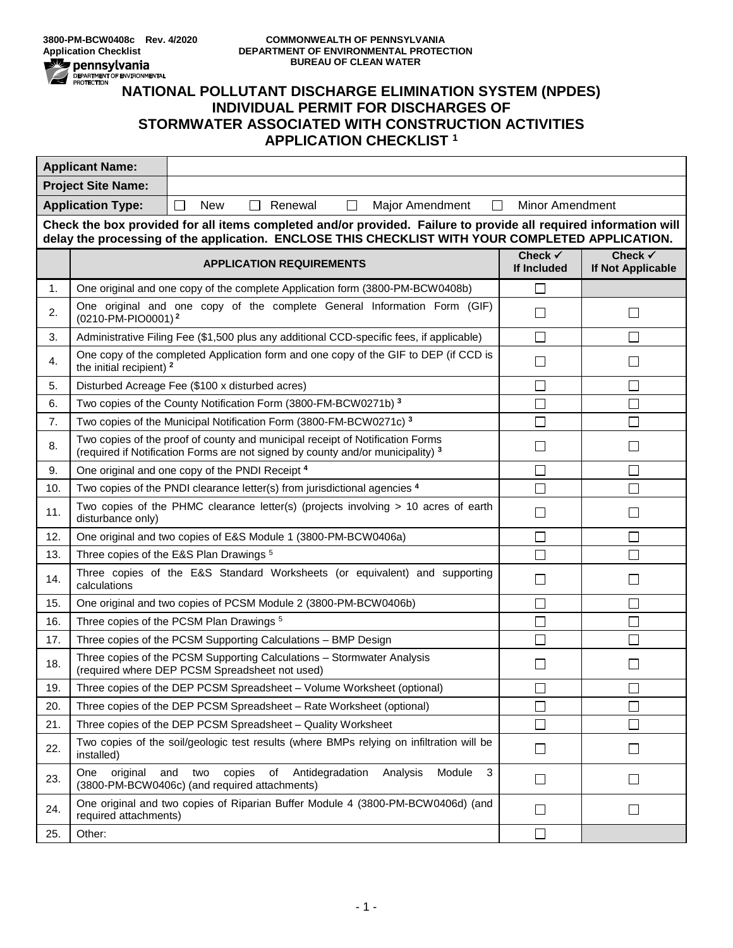

## **3800-PM-BCW0408c Rev. 4/2020 COMMONWEALTH OF PENNSYLVANIA Application Checklist DEPARTMENT OF ENVIRONMENTAL PROTECTION BUREAU OF CLEAN WATER**

## **NATIONAL PROPERTY OF SUREAU OF CLEAN WATER**<br>MATIONAL POLLUTANT DISCHARGE ELIMINATION SYSTEM (NPDES)<br>MATIONAL POLLUTANT DISCHARGE ELIMINATION SYSTEM (NPDES) **INDIVIDUAL PERMIT FOR DISCHARGES OF STORMWATER ASSOCIATED WITH CONSTRUCTION ACTIVITIES APPLICATION CHECKLIST <sup>1</sup>**

| <b>Applicant Name:</b>                                                                                                                                                                                               |                                                                                                                          |                                                                                                                                                                  |                        |                                         |  |  |  |
|----------------------------------------------------------------------------------------------------------------------------------------------------------------------------------------------------------------------|--------------------------------------------------------------------------------------------------------------------------|------------------------------------------------------------------------------------------------------------------------------------------------------------------|------------------------|-----------------------------------------|--|--|--|
| <b>Project Site Name:</b>                                                                                                                                                                                            |                                                                                                                          |                                                                                                                                                                  |                        |                                         |  |  |  |
| <b>Application Type:</b>                                                                                                                                                                                             |                                                                                                                          | <b>New</b><br>Renewal<br><b>Minor Amendment</b><br>$\Box$<br>$\Box$<br>$\Box$<br>Major Amendment<br>$\Box$                                                       |                        |                                         |  |  |  |
| Check the box provided for all items completed and/or provided. Failure to provide all required information will<br>delay the processing of the application. ENCLOSE THIS CHECKLIST WITH YOUR COMPLETED APPLICATION. |                                                                                                                          |                                                                                                                                                                  |                        |                                         |  |  |  |
|                                                                                                                                                                                                                      |                                                                                                                          | <b>APPLICATION REQUIREMENTS</b>                                                                                                                                  | Check √<br>If Included | Check $\checkmark$<br>If Not Applicable |  |  |  |
| 1.                                                                                                                                                                                                                   |                                                                                                                          | One original and one copy of the complete Application form (3800-PM-BCW0408b)                                                                                    | $\Box$                 |                                         |  |  |  |
| 2.                                                                                                                                                                                                                   | (0210-PM-PIO0001) <sup>2</sup>                                                                                           | One original and one copy of the complete General Information Form (GIF)                                                                                         | $\Box$                 | $\mathbf{I}$                            |  |  |  |
| 3.                                                                                                                                                                                                                   |                                                                                                                          | Administrative Filing Fee (\$1,500 plus any additional CCD-specific fees, if applicable)                                                                         | □                      |                                         |  |  |  |
| 4.                                                                                                                                                                                                                   | the initial recipient) <sup>2</sup>                                                                                      | One copy of the completed Application form and one copy of the GIF to DEP (if CCD is                                                                             | $\Box$                 |                                         |  |  |  |
| 5.                                                                                                                                                                                                                   |                                                                                                                          | Disturbed Acreage Fee (\$100 x disturbed acres)                                                                                                                  | П                      |                                         |  |  |  |
| 6.                                                                                                                                                                                                                   |                                                                                                                          | Two copies of the County Notification Form (3800-FM-BCW0271b) 3                                                                                                  | $\Box$                 |                                         |  |  |  |
| 7.                                                                                                                                                                                                                   |                                                                                                                          | Two copies of the Municipal Notification Form (3800-FM-BCW0271c) <sup>3</sup>                                                                                    | $\Box$                 |                                         |  |  |  |
| 8.                                                                                                                                                                                                                   |                                                                                                                          | Two copies of the proof of county and municipal receipt of Notification Forms<br>(required if Notification Forms are not signed by county and/or municipality) 3 | □                      | $\mathsf{L}$                            |  |  |  |
| 9.                                                                                                                                                                                                                   |                                                                                                                          | One original and one copy of the PNDI Receipt <sup>4</sup>                                                                                                       | $\Box$                 | $\mathsf{L}$                            |  |  |  |
| 10.                                                                                                                                                                                                                  |                                                                                                                          | Two copies of the PNDI clearance letter(s) from jurisdictional agencies <sup>4</sup>                                                                             | $\Box$                 |                                         |  |  |  |
| 11.                                                                                                                                                                                                                  | disturbance only)                                                                                                        | Two copies of the PHMC clearance letter(s) (projects involving $> 10$ acres of earth                                                                             | □                      |                                         |  |  |  |
| 12.                                                                                                                                                                                                                  |                                                                                                                          | One original and two copies of E&S Module 1 (3800-PM-BCW0406a)                                                                                                   | $\Box$                 | П                                       |  |  |  |
| 13.                                                                                                                                                                                                                  |                                                                                                                          | Three copies of the E&S Plan Drawings <sup>5</sup>                                                                                                               | $\Box$                 |                                         |  |  |  |
| 14.                                                                                                                                                                                                                  | Three copies of the E&S Standard Worksheets (or equivalent) and supporting<br>□<br>calculations                          |                                                                                                                                                                  |                        |                                         |  |  |  |
| 15.                                                                                                                                                                                                                  |                                                                                                                          | One original and two copies of PCSM Module 2 (3800-PM-BCW0406b)                                                                                                  | $\Box$                 | $\mathsf{L}$                            |  |  |  |
| 16.                                                                                                                                                                                                                  | Three copies of the PCSM Plan Drawings <sup>5</sup>                                                                      |                                                                                                                                                                  | $\Box$                 | $\blacksquare$                          |  |  |  |
| 17.                                                                                                                                                                                                                  | Three copies of the PCSM Supporting Calculations - BMP Design                                                            |                                                                                                                                                                  | $\Box$                 |                                         |  |  |  |
| 18.                                                                                                                                                                                                                  | Three copies of the PCSM Supporting Calculations - Stormwater Analysis<br>(required where DEP PCSM Spreadsheet not used) |                                                                                                                                                                  | П                      |                                         |  |  |  |
| 19.                                                                                                                                                                                                                  | Three copies of the DEP PCSM Spreadsheet - Volume Worksheet (optional)                                                   |                                                                                                                                                                  | □                      |                                         |  |  |  |
| 20.                                                                                                                                                                                                                  | Three copies of the DEP PCSM Spreadsheet - Rate Worksheet (optional)                                                     |                                                                                                                                                                  | $\Box$                 |                                         |  |  |  |
| 21.                                                                                                                                                                                                                  | Three copies of the DEP PCSM Spreadsheet - Quality Worksheet                                                             |                                                                                                                                                                  | $\Box$                 |                                         |  |  |  |
| 22.                                                                                                                                                                                                                  | installed)                                                                                                               | Two copies of the soil/geologic test results (where BMPs relying on infiltration will be                                                                         | $\Box$                 | П                                       |  |  |  |
| 23.                                                                                                                                                                                                                  | original<br>One                                                                                                          | copies<br>of<br>Antidegradation<br>Analysis<br>Module<br>3<br>and<br>two<br>(3800-PM-BCW0406c) (and required attachments)                                        | □                      | $\mathsf{L}$                            |  |  |  |
| 24.                                                                                                                                                                                                                  | required attachments)                                                                                                    | One original and two copies of Riparian Buffer Module 4 (3800-PM-BCW0406d) (and                                                                                  | $\Box$                 | $\mathsf{L}$                            |  |  |  |
| 25.                                                                                                                                                                                                                  | Other:                                                                                                                   |                                                                                                                                                                  | П                      |                                         |  |  |  |